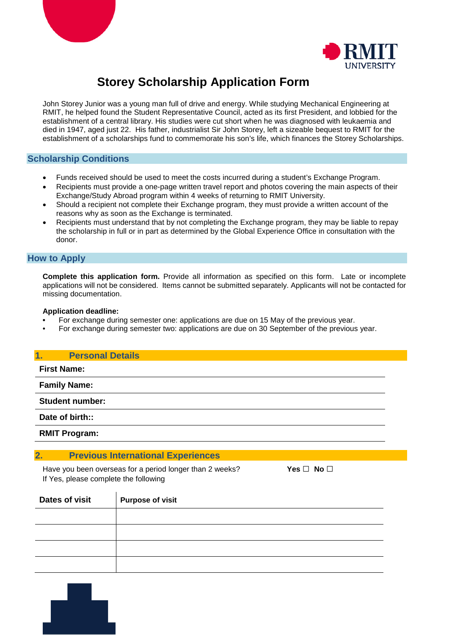



# **Storey Scholarship Application Form**

John Storey Junior was a young man full of drive and energy. While studying Mechanical Engineering at RMIT, he helped found the Student Representative Council, acted as its first President, and lobbied for the establishment of a central library. His studies were cut short when he was diagnosed with leukaemia and died in 1947, aged just 22. His father, industrialist Sir John Storey, left a sizeable bequest to RMIT for the establishment of a scholarships fund to commemorate his son's life, which finances the Storey Scholarships.

# **Scholarship Conditions**

- Funds received should be used to meet the costs incurred during a student's Exchange Program.
- Recipients must provide a one-page written travel report and photos covering the main aspects of their Exchange/Study Abroad program within 4 weeks of returning to RMIT University.
- Should a recipient not complete their Exchange program, they must provide a written account of the reasons why as soon as the Exchange is terminated.
- Recipients must understand that by not completing the Exchange program, they may be liable to repay the scholarship in full or in part as determined by the Global Experience Office in consultation with the donor.

## **How to Apply**

**Complete this application form.** Provide all information as specified on this form. Late or incomplete applications will not be considered. Items cannot be submitted separately. Applicants will not be contacted for missing documentation.

#### **Application deadline:**

- **•** For exchange during semester one: applications are due on 15 May of the previous year.
- For exchange during semester two: applications are due on 30 September of the previous year.

#### **1. Personal Details**

**First Name:**

**Family Name:**

**Student number:**

**Date of birth::**

**RMIT Program:**

## **2. Previous International Experiences**

Have you been overseas for a period longer than 2 weeks? **Yes** □ **No** □ If Yes, please complete the following

| Dates of visit | <b>Purpose of visit</b> |
|----------------|-------------------------|
|                |                         |
|                |                         |
|                |                         |
|                |                         |

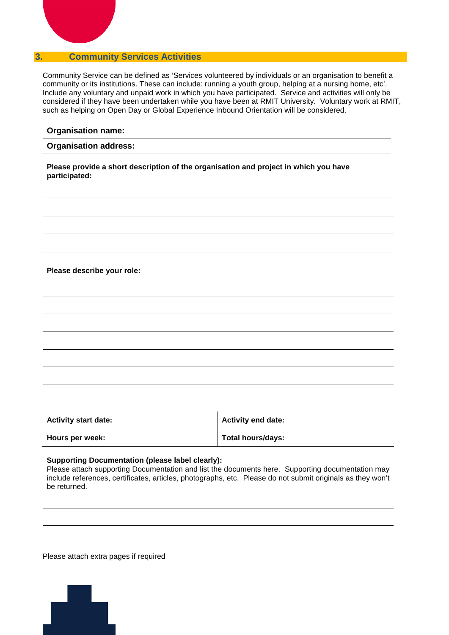# **3. Community Services Activities**

Community Service can be defined as 'Services volunteered by individuals or an organisation to benefit a community or its institutions. These can include: running a youth group, helping at a nursing home, etc'. Include any voluntary and unpaid work in which you have participated. Service and activities will only be considered if they have been undertaken while you have been at RMIT University. Voluntary work at RMIT, such as helping on Open Day or Global Experience Inbound Orientation will be considered.

#### **Organisation name:**

#### **Organisation address:**

**Please provide a short description of the organisation and project in which you have participated:**

**Please describe your role:**

| <b>Activity start date:</b> | <b>Activity end date:</b> |
|-----------------------------|---------------------------|
| Hours per week:             | Total hours/days:         |

#### **Supporting Documentation (please label clearly):**

Please attach supporting Documentation and list the documents here. Supporting documentation may include references, certificates, articles, photographs, etc. Please do not submit originals as they won't be returned.

Please attach extra pages if required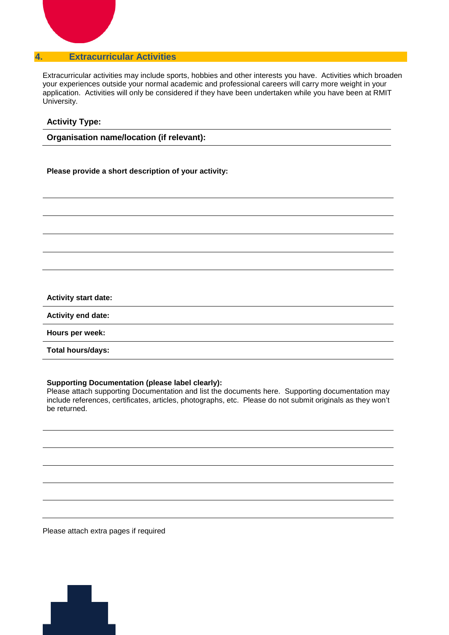# **4. Extracurricular Activities**

Extracurricular activities may include sports, hobbies and other interests you have. Activities which broaden your experiences outside your normal academic and professional careers will carry more weight in your application. Activities will only be considered if they have been undertaken while you have been at RMIT University.

## **Activity Type:**

**Organisation name/location (if relevant):**

**Please provide a short description of your activity:**

#### **Activity start date:**

**Activity end date:**

**Hours per week:**

**Total hours/days:**

## **Supporting Documentation (please label clearly):**

Please attach supporting Documentation and list the documents here. Supporting documentation may include references, certificates, articles, photographs, etc. Please do not submit originals as they won't be returned.

Please attach extra pages if required